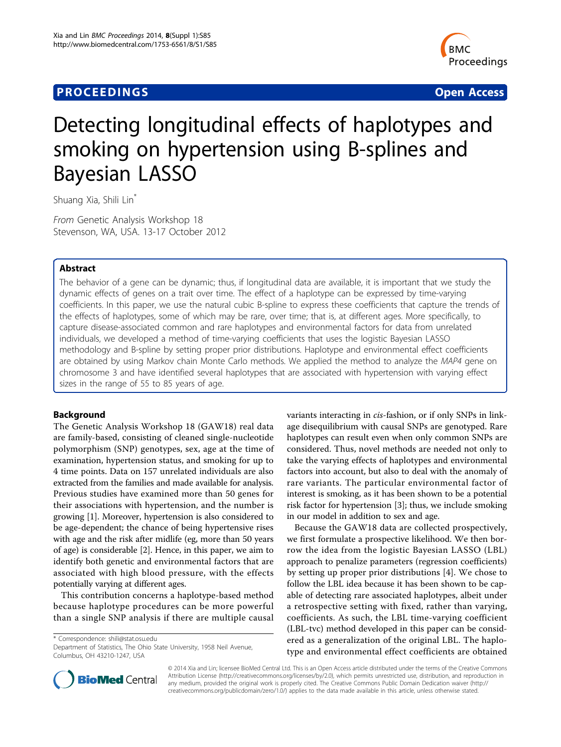## **PROCEEDINGS STATES CONSUMING S** Open Access **CONSUMING S**



# Detecting longitudinal effects of haplotypes and smoking on hypertension using B-splines and Bayesian LASSO

Shuang Xia, Shili Lin\*

From Genetic Analysis Workshop 18 Stevenson, WA, USA. 13-17 October 2012

### Abstract

The behavior of a gene can be dynamic; thus, if longitudinal data are available, it is important that we study the dynamic effects of genes on a trait over time. The effect of a haplotype can be expressed by time-varying coefficients. In this paper, we use the natural cubic B-spline to express these coefficients that capture the trends of the effects of haplotypes, some of which may be rare, over time; that is, at different ages. More specifically, to capture disease-associated common and rare haplotypes and environmental factors for data from unrelated individuals, we developed a method of time-varying coefficients that uses the logistic Bayesian LASSO methodology and B-spline by setting proper prior distributions. Haplotype and environmental effect coefficients are obtained by using Markov chain Monte Carlo methods. We applied the method to analyze the MAP4 gene on chromosome 3 and have identified several haplotypes that are associated with hypertension with varying effect sizes in the range of 55 to 85 years of age.

## Background

The Genetic Analysis Workshop 18 (GAW18) real data are family-based, consisting of cleaned single-nucleotide polymorphism (SNP) genotypes, sex, age at the time of examination, hypertension status, and smoking for up to 4 time points. Data on 157 unrelated individuals are also extracted from the families and made available for analysis. Previous studies have examined more than 50 genes for their associations with hypertension, and the number is growing [\[1](#page-3-0)]. Moreover, hypertension is also considered to be age-dependent; the chance of being hypertensive rises with age and the risk after midlife (eg, more than 50 years of age) is considerable [[2\]](#page-3-0). Hence, in this paper, we aim to identify both genetic and environmental factors that are associated with high blood pressure, with the effects potentially varying at different ages.

This contribution concerns a haplotype-based method because haplotype procedures can be more powerful than a single SNP analysis if there are multiple causal

\* Correspondence: [shili@stat.osu.edu](mailto:shili@stat.osu.edu)

Department of Statistics, The Ohio State University, 1958 Neil Avenue, Columbus, OH 43210-1247, USA

variants interacting in cis-fashion, or if only SNPs in linkage disequilibrium with causal SNPs are genotyped. Rare haplotypes can result even when only common SNPs are considered. Thus, novel methods are needed not only to take the varying effects of haplotypes and environmental factors into account, but also to deal with the anomaly of rare variants. The particular environmental factor of interest is smoking, as it has been shown to be a potential risk factor for hypertension [[3\]](#page-3-0); thus, we include smoking in our model in addition to sex and age.

Because the GAW18 data are collected prospectively, we first formulate a prospective likelihood. We then borrow the idea from the logistic Bayesian LASSO (LBL) approach to penalize parameters (regression coefficients) by setting up proper prior distributions [[4](#page-3-0)]. We chose to follow the LBL idea because it has been shown to be capable of detecting rare associated haplotypes, albeit under a retrospective setting with fixed, rather than varying, coefficients. As such, the LBL time-varying coefficient (LBL-tvc) method developed in this paper can be considered as a generalization of the original LBL. The haplotype and environmental effect coefficients are obtained



© 2014 Xia and Lin; licensee BioMed Central Ltd. This is an Open Access article distributed under the terms of the Creative Commons Attribution License [\(http://creativecommons.org/licenses/by/2.0](http://creativecommons.org/licenses/by/2.0)), which permits unrestricted use, distribution, and reproduction in any medium, provided the original work is properly cited. The Creative Commons Public Domain Dedication waiver [\(http://](http://creativecommons.org/publicdomain/zero/1.0/) [creativecommons.org/publicdomain/zero/1.0/](http://creativecommons.org/publicdomain/zero/1.0/)) applies to the data made available in this article, unless otherwise stated.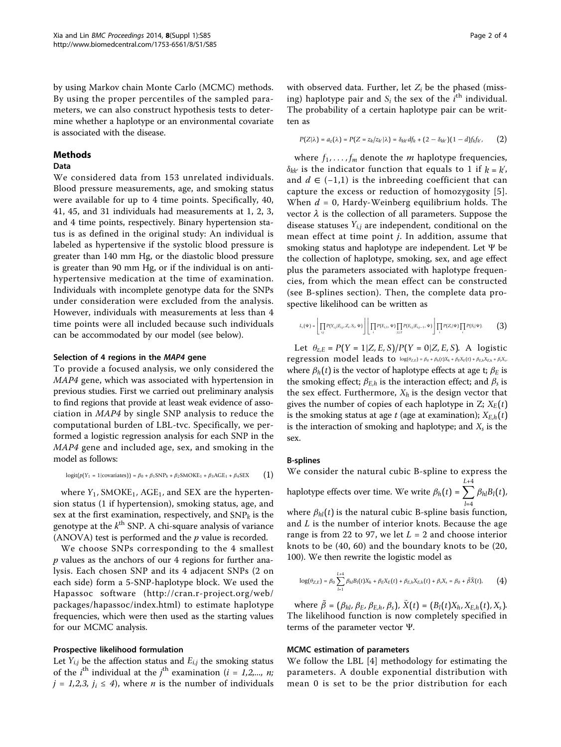by using Markov chain Monte Carlo (MCMC) methods. By using the proper percentiles of the sampled parameters, we can also construct hypothesis tests to determine whether a haplotype or an environmental covariate is associated with the disease.

#### Methods

#### Data

We considered data from 153 unrelated individuals. Blood pressure measurements, age, and smoking status were available for up to 4 time points. Specifically, 40, 41, 45, and 31 individuals had measurements at 1, 2, 3, and 4 time points, respectively. Binary hypertension status is as defined in the original study: An individual is labeled as hypertensive if the systolic blood pressure is greater than 140 mm Hg, or the diastolic blood pressure is greater than 90 mm Hg, or if the individual is on antihypertensive medication at the time of examination. Individuals with incomplete genotype data for the SNPs under consideration were excluded from the analysis. However, individuals with measurements at less than 4 time points were all included because such individuals can be accommodated by our model (see below).

#### Selection of 4 regions in the MAP4 gene

To provide a focused analysis, we only considered the MAP4 gene, which was associated with hypertension in previous studies. First we carried out preliminary analysis to find regions that provide at least weak evidence of association in MAP4 by single SNP analysis to reduce the computational burden of LBL-tvc. Specifically, we performed a logistic regression analysis for each SNP in the MAP4 gene and included age, sex, and smoking in the model as follows:

$$
logit(p(Y_1 = 1 | covariates)) = \beta_0 + \beta_1 SNP_k + \beta_2SMOKE_1 + \beta_3AGE_1 + \beta_4SEX
$$
 (1)

where  $Y_1$ , SMOKE<sub>1</sub>, AGE<sub>1</sub>, and SEX are the hypertension status (1 if hypertension), smoking status, age, and sex at the first examination, respectively, and  $SNP_k$  is the genotype at the  $k<sup>th</sup>$  SNP. A chi-square analysis of variance (ANOVA) test is performed and the  $p$  value is recorded.

We choose SNPs corresponding to the 4 smallest  $p$  values as the anchors of our 4 regions for further analysis. Each chosen SNP and its 4 adjacent SNPs (2 on each side) form a 5-SNP-haplotype block. We used the Hapassoc software ([http://cran.r-project.org/web/](http://cran.r-project.org/web/packages/hapassoc/index.html) [packages/hapassoc/index.html\)](http://cran.r-project.org/web/packages/hapassoc/index.html) to estimate haplotype frequencies, which were then used as the starting values for our MCMC analysis.

#### Prospective likelihood formulation

Let  $Y_{i,j}$  be the affection status and  $E_{i,j}$  the smoking status of the *i*<sup>th</sup> individual at the *j*<sup>th</sup> examination (*i* = 1,2,..., *n*;  $j = 1,2,3$ ,  $j_i \leq 4$ ), where *n* is the number of individuals

with observed data. Further, let *Zi* be the phased (missing) haplotype pair and  $S_i$  the sex of the  $i^{\text{th}}$  individual. The probability of a certain haplotype pair can be written as

$$
P(Z|\lambda) = a_z(\lambda) = P(Z = z_k/z_{k'}|\lambda) = \delta_{kk'}df_k + (2 - \delta_{kk'}) (1 - d)f_kf_{k'},
$$
 (2)

where  $f_1, \ldots, f_m$  denote the *m* haplotype frequencies,  $\delta_{kk'}$  is the indicator function that equals to 1 if  $k = k'$ , and  $d$  ∈ (−1,1) is the inbreeding coefficient that can capture the excess or reduction of homozygosity [[5](#page-3-0)]. When  $d = 0$ , Hardy-Weinberg equilibrium holds. The vector  $\lambda$  is the collection of all parameters. Suppose the disease statuses *Yi*,*<sup>j</sup>* are independent, conditional on the mean effect at time point j. In addition, assume that smoking status and haplotype are independent. Let Ψ be the collection of haplotype, smoking, sex, and age effect plus the parameters associated with haplotype frequencies, from which the mean effect can be constructed (see B-splines section). Then, the complete data prospective likelihood can be written as

$$
I_c(\Psi)=\left\lfloor \prod_{i,j}P(Y_{i,j}|E_{i,j},Z_i,S_i,\Psi)\right\rfloor\left\lfloor \prod_i P(E_{i,1},\Psi)\prod_{j\geq 2}P(E_{i,j}|E_{i,j-1},\Psi)\right\rfloor\prod_i P(Z_i|\Psi)\prod_i P(S_i|\Psi). \tag{3}
$$

Let  $\theta_{z,E} = P(Y = 1 | Z, E, S) / P(Y = 0 | Z, E, S)$ . A logistic regression model leads to  $log(\theta_{Z,E}) = \beta_0 + \beta_h(t)X_h + \beta_E X_E(t) + \beta_{E,h} X_{E,h} + \beta_s X_s$ , where  $\beta_h(t)$  is the vector of haplotype effects at age t;  $\beta_E$  is the smoking effect;  $\beta_{E,h}$  is the interaction effect; and  $\beta_s$  is the sex effect. Furthermore,  $X_h$  is the design vector that gives the number of copies of each haplotype in  $Z$ ;  $X_E(t)$ is the smoking status at age  $t$  (age at examination);  $X_{E,h}(t)$ is the interaction of smoking and haplotype; and *Xs* is the sex.

#### B-splines

We consider the natural cubic B-spline to express the haplotype effects over time. We write  $\beta_h(t) = \sum$ *L*+4 *l*=4  $\beta_{hl}B_l(t)$ , where  $\beta_{hl}(t)$  is the natural cubic B-spline basis function, and  $L$  is the number of interior knots. Because the age range is from 22 to 97, we let  $L = 2$  and choose interior knots to be (40, 60) and the boundary knots to be (20, 100). We then rewrite the logistic model as

$$
\log(\theta_{Z,E}) = \beta_0 \sum_{l=1}^{L+4} \beta_{hl} B_l(t) X_h + \beta_E X_E(t) + \beta_{E,h} X_{E,h}(t) + \beta_s X_s = \beta_0 + \tilde{\beta} \tilde{X}(t), \quad (4)
$$

where  $\tilde{\beta} = (\beta_{hl}, \beta_E, \beta_{E,h}, \beta_s)$ ,  $\tilde{X}(t) = (B_l(t)X_h, X_{E,h}(t), X_s)$ . The likelihood function is now completely specified in terms of the parameter vector Ψ.

#### MCMC estimation of parameters

We follow the LBL [[4\]](#page-3-0) methodology for estimating the parameters. A double exponential distribution with mean 0 is set to be the prior distribution for each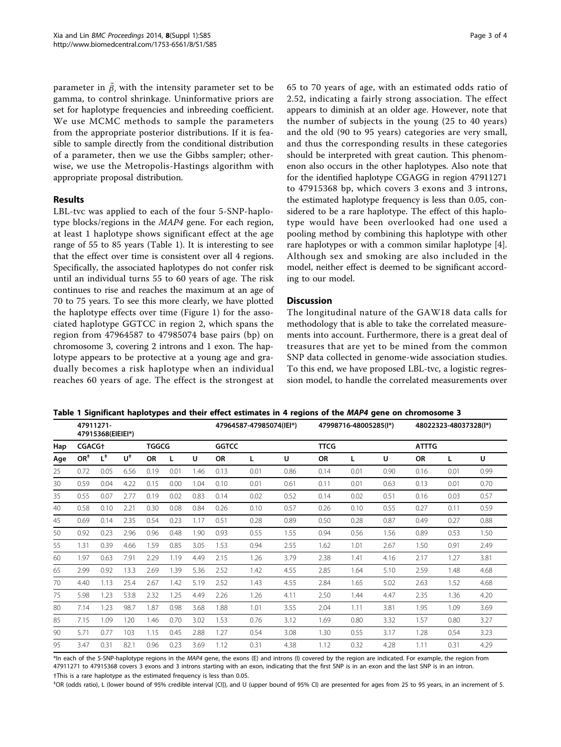parameter in  $\tilde{\beta}$ , with the intensity parameter set to be gamma, to control shrinkage. Uninformative priors are set for haplotype frequencies and inbreeding coefficient. We use MCMC methods to sample the parameters from the appropriate posterior distributions. If it is feasible to sample directly from the conditional distribution of a parameter, then we use the Gibbs sampler; otherwise, we use the Metropolis-Hastings algorithm with appropriate proposal distribution.

#### Results

LBL-tvc was applied to each of the four 5-SNP-haplotype blocks/regions in the MAP4 gene. For each region, at least 1 haplotype shows significant effect at the age range of 55 to 85 years (Table 1). It is interesting to see that the effect over time is consistent over all 4 regions. Specifically, the associated haplotypes do not confer risk until an individual turns 55 to 60 years of age. The risk continues to rise and reaches the maximum at an age of 70 to 75 years. To see this more clearly, we have plotted the haplotype effects over time (Figure [1](#page-3-0)) for the associated haplotype GGTCC in region 2, which spans the region from 47964587 to 47985074 base pairs (bp) on chromosome 3, covering 2 introns and 1 exon. The haplotype appears to be protective at a young age and gradually becomes a risk haplotype when an individual reaches 60 years of age. The effect is the strongest at 65 to 70 years of age, with an estimated odds ratio of 2.52, indicating a fairly strong association. The effect appears to diminish at an older age. However, note that the number of subjects in the young (25 to 40 years) and the old (90 to 95 years) categories are very small, and thus the corresponding results in these categories should be interpreted with great caution. This phenomenon also occurs in the other haplotypes. Also note that for the identified haplotype CGAGG in region 47911271 to 47915368 bp, which covers 3 exons and 3 introns, the estimated haplotype frequency is less than 0.05, considered to be a rare haplotype. The effect of this haplotype would have been overlooked had one used a pooling method by combining this haplotype with other rare haplotypes or with a common similar haplotype [\[4](#page-3-0)]. Although sex and smoking are also included in the model, neither effect is deemed to be significant according to our model.

#### **Discussion**

The longitudinal nature of the GAW18 data calls for methodology that is able to take the correlated measurements into account. Furthermore, there is a great deal of treasures that are yet to be mined from the common SNP data collected in genome-wide association studies. To this end, we have proposed LBL-tvc, a logistic regression model, to handle the correlated measurements over

|  |  |  |  | Table 1 Significant haplotypes and their effect estimates in 4 regions of the <i>MAP4</i> gene on chromosome 3 |  |  |  |
|--|--|--|--|----------------------------------------------------------------------------------------------------------------|--|--|--|
|--|--|--|--|----------------------------------------------------------------------------------------------------------------|--|--|--|

|     | 47911271-<br>47915368(EIEIEI*) |       |                |              |      | 47964587-47985074(IEI*) |           |             | 47998716-48005285(I*) |           |              | 48022323-48037328(I*) |           |      |      |
|-----|--------------------------------|-------|----------------|--------------|------|-------------------------|-----------|-------------|-----------------------|-----------|--------------|-----------------------|-----------|------|------|
| Hap | <b>CGACG+</b>                  |       |                | <b>TGGCG</b> |      | <b>GGTCC</b>            |           | <b>TTCG</b> |                       |           | <b>ATTTG</b> |                       |           |      |      |
| Age | $OR+$                          | $L^*$ | $U^{\ddagger}$ | <b>OR</b>    | L    | U                       | <b>OR</b> | L           | U                     | <b>OR</b> | L            | U                     | <b>OR</b> | L    | U    |
| 25  | 0.72                           | 0.05  | 6.56           | 0.19         | 0.01 | 1.46                    | 0.13      | 0.01        | 0.86                  | 0.14      | 0.01         | 0.90                  | 0.16      | 0.01 | 0.99 |
| 30  | 0.59                           | 0.04  | 4.22           | 0.15         | 0.00 | 1.04                    | 0.10      | 0.01        | 0.61                  | 0.11      | 0.01         | 0.63                  | 0.13      | 0.01 | 0.70 |
| 35  | 0.55                           | 0.07  | 2.77           | 0.19         | 0.02 | 0.83                    | 0.14      | 0.02        | 0.52                  | 0.14      | 0.02         | 0.51                  | 0.16      | 0.03 | 0.57 |
| 40  | 0.58                           | 0.10  | 2.21           | 0.30         | 0.08 | 0.84                    | 0.26      | 0.10        | 0.57                  | 0.26      | 0.10         | 0.55                  | 0.27      | 0.11 | 0.59 |
| 45  | 0.69                           | 0.14  | 2.35           | 0.54         | 0.23 | 1.17                    | 0.51      | 0.28        | 0.89                  | 0.50      | 0.28         | 0.87                  | 0.49      | 0.27 | 0.88 |
| 50  | 0.92                           | 0.23  | 2.96           | 0.96         | 0.48 | 1.90                    | 0.93      | 0.55        | 1.55                  | 0.94      | 0.56         | 1.56                  | 0.89      | 0.53 | 1.50 |
| 55  | 1.31                           | 0.39  | 4.66           | 1.59         | 0.85 | 3.05                    | 1.53      | 0.94        | 2.55                  | 1.62      | 1.01         | 2.67                  | 1.50      | 0.91 | 2.49 |
| 60  | 1.97                           | 0.63  | 7.91           | 2.29         | 1.19 | 4.49                    | 2.15      | 1.26        | 3.79                  | 2.38      | 1.41         | 4.16                  | 2.17      | 1.27 | 3.81 |
| 65  | 2.99                           | 0.92  | 13.3           | 2.69         | 1.39 | 5.36                    | 2.52      | 1.42        | 4.55                  | 2.85      | 1.64         | 5.10                  | 2.59      | 1.48 | 4.68 |
| 70  | 4.40                           | 1.13  | 25.4           | 2.67         | 1.42 | 5.19                    | 2.52      | 1.43        | 4.55                  | 2.84      | 1.65         | 5.02                  | 2.63      | 1.52 | 4.68 |
| 75  | 5.98                           | 1.23  | 53.8           | 2.32         | 1.25 | 4.49                    | 2.26      | 1.26        | 4.11                  | 2.50      | 1.44         | 4.47                  | 2.35      | 1.36 | 4.20 |
| 80  | 7.14                           | 1.23  | 98.7           | 1.87         | 0.98 | 3.68                    | 1.88      | 1.01        | 3.55                  | 2.04      | 1.11         | 3.81                  | 1.95      | 1.09 | 3.69 |
| 85  | 7.15                           | 1.09  | 120            | 1.46         | 0.70 | 3.02                    | 1.53      | 0.76        | 3.12                  | 1.69      | 0.80         | 3.32                  | 1.57      | 0.80 | 3.27 |
| 90  | 5.71                           | 0.77  | 103            | 1.15         | 0.45 | 2.88                    | 1.27      | 0.54        | 3.08                  | 1.30      | 0.55         | 3.17                  | 1.28      | 0.54 | 3.23 |
| 95  | 3.47                           | 0.31  | 82.1           | 0.96         | 0.23 | 3.69                    | 1.12      | 0.31        | 4.38                  | 1.12      | 0.32         | 4.28                  | 1.11      | 0.31 | 4.29 |

\*In each of the 5-SNP-haplotype regions in the MAP4 gene, the exons (E) and introns (I) covered by the region are indicated. For example, the region from 47911271 to 47915368 covers 3 exons and 3 introns starting with an exon, indicating that the first SNP is in an exon and the last SNP is in an intron. †This is a rare haplotype as the estimated frequency is less than 0.05.

‡ OR (odds ratio), L (lower bound of 95% credible interval [CI]), and U (upper bound of 95% CI) are presented for ages from 25 to 95 years, in an increment of 5.